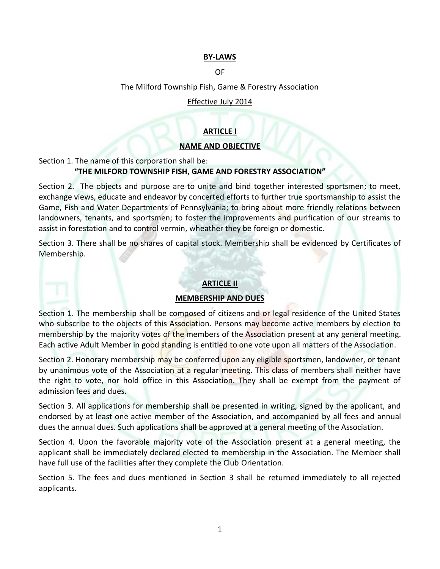### **BY-LAWS**

#### OF

The Milford Township Fish, Game & Forestry Association

#### Effective July 2014

### **ARTICLE I**

#### **NAME AND OBJECTIVE**

Section 1. The name of this corporation shall be:

### **"THE MILFORD TOWNSHIP FISH, GAME AND FORESTRY ASSOCIATION"**

Section 2. The objects and purpose are to unite and bind together interested sportsmen; to meet, exchange views, educate and endeavor by concerted efforts to further true sportsmanship to assist the Game, Fish and Water Departments of Pennsylvania; to bring about more friendly relations between landowners, tenants, and sportsmen; to foster the improvements and purification of our streams to assist in forestation and to control vermin, wheather they be foreign or domestic.

Section 3. There shall be no shares of capital stock. Membership shall be evidenced by Certificates of Membership.

#### **ARTICLE II**

#### **MEMBERSHIP AND DUES**

Section 1. The membership shall be composed of citizens and or legal residence of the United States who subscribe to the objects of this Association. Persons may become active members by election to membership by the majority votes of the members of the Association present at any general meeting. Each active Adult Member in good standing is entitled to one vote upon all matters of the Association.

Section 2. Honorary membership may be conferred upon any eligible sportsmen, landowner, or tenant by unanimous vote of the Association at a regular meeting. This class of members shall neither have the right to vote, nor hold office in this Association. They shall be exempt from the payment of admission fees and dues.

Section 3. All applications for membership shall be presented in writing, signed by the applicant, and endorsed by at least one active member of the Association, and accompanied by all fees and annual dues the annual dues. Such applications shall be approved at a general meeting of the Association.

Section 4. Upon the favorable majority vote of the Association present at a general meeting, the applicant shall be immediately declared elected to membership in the Association. The Member shall have full use of the facilities after they complete the Club Orientation.

Section 5. The fees and dues mentioned in Section 3 shall be returned immediately to all rejected applicants.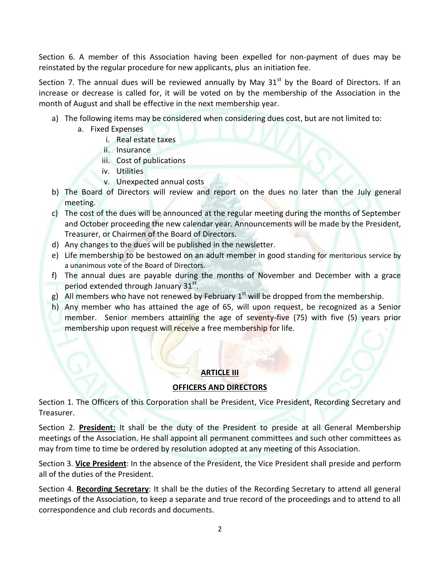Section 6. A member of this Association having been expelled for non-payment of dues may be reinstated by the regular procedure for new applicants, plus an initiation fee.

Section 7. The annual dues will be reviewed annually by May  $31<sup>st</sup>$  by the Board of Directors. If an increase or decrease is called for, it will be voted on by the membership of the Association in the month of August and shall be effective in the next membership year.

- a) The following items may be considered when considering dues cost, but are not limited to:
	- a. Fixed Expenses
		- i. Real estate taxes
		- ii. Insurance
		- iii. Cost of publications
		- iv. Utilities
		- v. Unexpected annual costs
- b) The Board of Directors will review and report on the dues no later than the July general meeting.
- c) The cost of the dues will be announced at the regular meeting during the months of September and October proceeding the new calendar year. Announcements will be made by the President, Treasurer, or Chairmen of the Board of Directors.
- d) Any changes to the dues will be published in the newsletter.
- e) Life membership to be bestowed on an adult member in good standing for meritorious service by a unanimous vote of the Board of Directors.
- f) The annual dues are payable during the months of November and December with a grace period extended through January 31 $^{\rm st}$ .
- g) All members who have not renewed by February  $1<sup>st</sup>$  will be dropped from the membership.
- h) Any member who has attained the age of 65, will upon request, be recognized as a Senior member. Senior members attaining the age of seventy-five (75) with five (5) years prior membership upon request will receive a free membership for life.

### **ARTICLE III**

### **OFFICERS AND DIRECTORS**

Section 1. The Officers of this Corporation shall be President, Vice President, Recording Secretary and Treasurer.

Section 2. **President:** It shall be the duty of the President to preside at all General Membership meetings of the Association. He shall appoint all permanent committees and such other committees as may from time to time be ordered by resolution adopted at any meeting of this Association.

Section 3. **Vice President**: In the absence of the President, the Vice President shall preside and perform all of the duties of the President.

Section 4. **Recording Secretary**: It shall be the duties of the Recording Secretary to attend all general meetings of the Association, to keep a separate and true record of the proceedings and to attend to all correspondence and club records and documents.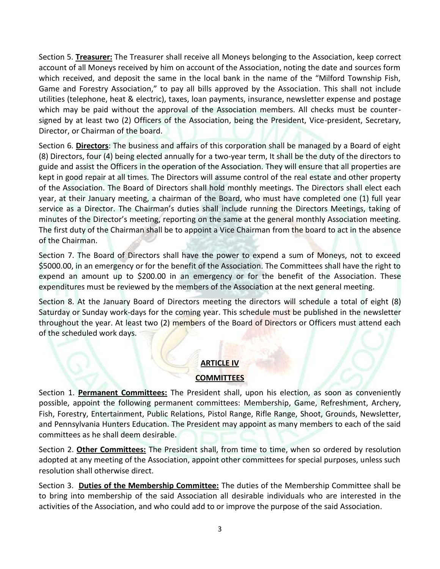Section 5. **Treasurer:** The Treasurer shall receive all Moneys belonging to the Association, keep correct account of all Moneys received by him on account of the Association, noting the date and sources form which received, and deposit the same in the local bank in the name of the "Milford Township Fish, Game and Forestry Association," to pay all bills approved by the Association. This shall not include utilities (telephone, heat & electric), taxes, loan payments, insurance, newsletter expense and postage which may be paid without the approval of the Association members. All checks must be countersigned by at least two (2) Officers of the Association, being the President, Vice-president, Secretary, Director, or Chairman of the board.

Section 6. **Directors**: The business and affairs of this corporation shall be managed by a Board of eight (8) Directors, four (4) being elected annually for a two-year term, It shall be the duty of the directors to guide and assist the Officers in the operation of the Association. They will ensure that all properties are kept in good repair at all times. The Directors will assume control of the real estate and other property of the Association. The Board of Directors shall hold monthly meetings. The Directors shall elect each year, at their January meeting, a chairman of the Board, who must have completed one (1) full year service as a Director. The Chairman's duties shall include running the Directors Meetings, taking of minutes of the Director's meeting, reporting on the same at the general monthly Association meeting. The first duty of the Chairman shall be to appoint a Vice Chairman from the board to act in the absence of the Chairman.

Section 7. The Board of Directors shall have the power to expend a sum of Moneys, not to exceed \$5000.00, in an emergency or for the benefit of the Association. The Committees shall have the right to expend an amount up to \$200.00 in an emergency or for the benefit of the Association. These expenditures must be reviewed by the members of the Association at the next general meeting.

Section 8. At the January Board of Directors meeting the directors will schedule a total of eight (8) Saturday or Sunday work-days for the coming year. This schedule must be published in the newsletter throughout the year. At least two (2) members of the Board of Directors or Officers must attend each of the scheduled work days.

# **ARTICLE IV**

## **COMMITTEES**

Section 1. **Permanent Committees:** The President shall, upon his election, as soon as conveniently possible, appoint the following permanent committees: Membership, Game, Refreshment, Archery, Fish, Forestry, Entertainment, Public Relations, Pistol Range, Rifle Range, Shoot, Grounds, Newsletter, and Pennsylvania Hunters Education. The President may appoint as many members to each of the said committees as he shall deem desirable.

Section 2. **Other Committees:** The President shall, from time to time, when so ordered by resolution adopted at any meeting of the Association, appoint other committees for special purposes, unless such resolution shall otherwise direct.

Section 3. **Duties of the Membership Committee:** The duties of the Membership Committee shall be to bring into membership of the said Association all desirable individuals who are interested in the activities of the Association, and who could add to or improve the purpose of the said Association.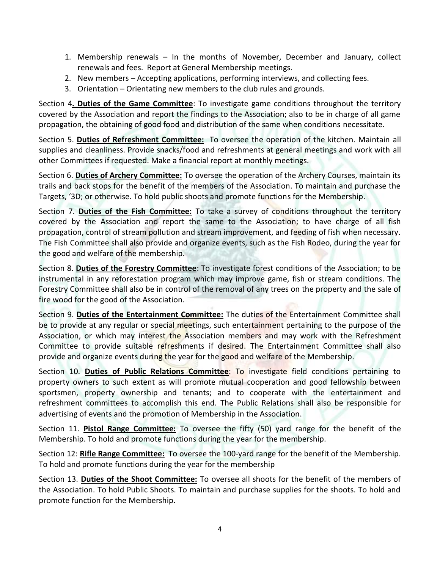- 1. Membership renewals In the months of November, December and January, collect renewals and fees. Report at General Membership meetings.
- 2. New members Accepting applications, performing interviews, and collecting fees.
- 3. Orientation Orientating new members to the club rules and grounds.

Section 4**. Duties of the Game Committee**: To investigate game conditions throughout the territory covered by the Association and report the findings to the Association; also to be in charge of all game propagation, the obtaining of good food and distribution of the same when conditions necessitate.

Section 5. **Duties of Refreshment Committee:** To oversee the operation of the kitchen. Maintain all supplies and cleanliness. Provide snacks/food and refreshments at general meetings and work with all other Committees if requested. Make a financial report at monthly meetings.

Section 6. **Duties of Archery Committee:** To oversee the operation of the Archery Courses, maintain its trails and back stops for the benefit of the members of the Association. To maintain and purchase the Targets, '3D; or otherwise. To hold public shoots and promote functions for the Membership.

Section 7. **Duties of the Fish Committee:** To take a survey of conditions throughout the territory covered by the Association and report the same to the Association; to have charge of all fish propagation, control of stream pollution and stream improvement, and feeding of fish when necessary. The Fish Committee shall also provide and organize events, such as the Fish Rodeo, during the year for the good and welfare of the membership.

Section 8. **Duties of the Forestry Committee**: To investigate forest conditions of the Association; to be instrumental in any reforestation program which may improve game, fish or stream conditions. The Forestry Committee shall also be in control of the removal of any trees on the property and the sale of fire wood for the good of the Association.

Section 9. **Duties of the Entertainment Committee:** The duties of the Entertainment Committee shall be to provide at any regular or special meetings, such entertainment pertaining to the purpose of the Association, or which may interest the Association members and may work with the Refreshment Committee to provide suitable refreshments if desired. The Entertainment Committee shall also provide and organize events during the year for the good and welfare of the Membership.

Section 10. **Duties of Public Relations Committee**: To investigate field conditions pertaining to property owners to such extent as will promote mutual cooperation and good fellowship between sportsmen, property ownership and tenants; and to cooperate with the entertainment and refreshment committees to accomplish this end. The Public Relations shall also be responsible for advertising of events and the promotion of Membership in the Association.

Section 11. **Pistol Range Committee:** To oversee the fifty (50) yard range for the benefit of the Membership. To hold and promote functions during the year for the membership.

Section 12: **Rifle Range Committee:** To oversee the 100-yard range for the benefit of the Membership. To hold and promote functions during the year for the membership

Section 13. **Duties of the Shoot Committee:** To oversee all shoots for the benefit of the members of the Association. To hold Public Shoots. To maintain and purchase supplies for the shoots. To hold and promote function for the Membership.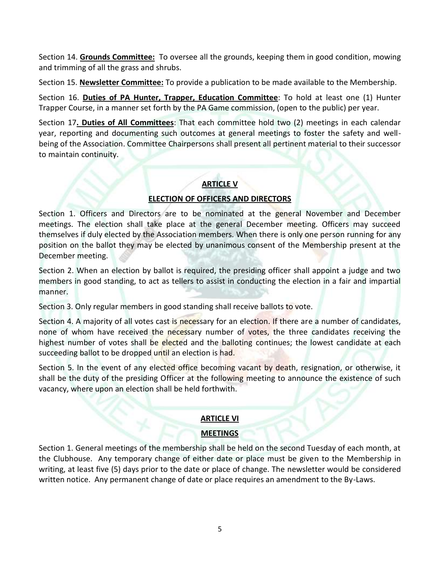Section 14. **Grounds Committee:** To oversee all the grounds, keeping them in good condition, mowing and trimming of all the grass and shrubs.

Section 15. **Newsletter Committee:** To provide a publication to be made available to the Membership.

Section 16. **Duties of PA Hunter, Trapper, Education Committee**: To hold at least one (1) Hunter Trapper Course, in a manner set forth by the PA Game commission, (open to the public) per year.

Section 17**. Duties of All Committees**: That each committee hold two (2) meetings in each calendar year, reporting and documenting such outcomes at general meetings to foster the safety and wellbeing of the Association. Committee Chairpersons shall present all pertinent material to their successor to maintain continuity.

# **ARTICLE V**

# **ELECTION OF OFFICERS AND DIRECTORS**

Section 1. Officers and Directors are to be nominated at the general November and December meetings. The election shall take place at the general December meeting. Officers may succeed themselves if duly elected by the Association members. When there is only one person running for any position on the ballot they may be elected by unanimous consent of the Membership present at the December meeting.

Section 2. When an election by ballot is required, the presiding officer shall appoint a judge and two members in good standing, to act as tellers to assist in conducting the election in a fair and impartial manner.

Section 3. Only regular members in good standing shall receive ballots to vote.

Section 4. A majority of all votes cast is necessary for an election. If there are a number of candidates, none of whom have received the necessary number of votes, the three candidates receiving the highest number of votes shall be elected and the balloting continues; the lowest candidate at each succeeding ballot to be dropped until an election is had.

Section 5. In the event of any elected office becoming vacant by death, resignation, or otherwise, it shall be the duty of the presiding Officer at the following meeting to announce the existence of such vacancy, where upon an election shall be held forthwith.

# **ARTICLE VI**

## **MEETINGS**

Section 1. General meetings of the membership shall be held on the second Tuesday of each month, at the Clubhouse. Any temporary change of either date or place must be given to the Membership in writing, at least five (5) days prior to the date or place of change. The newsletter would be considered written notice. Any permanent change of date or place requires an amendment to the By-Laws.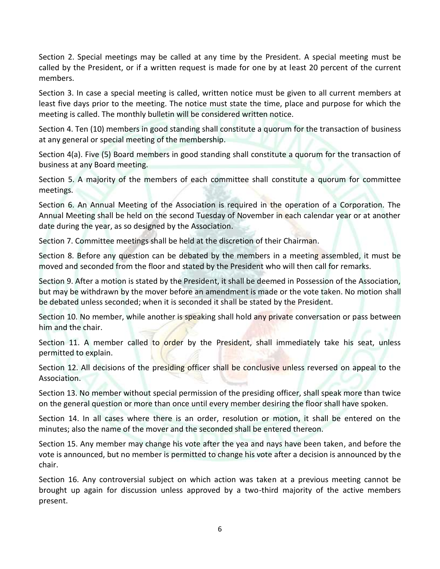Section 2. Special meetings may be called at any time by the President. A special meeting must be called by the President, or if a written request is made for one by at least 20 percent of the current members.

Section 3. In case a special meeting is called, written notice must be given to all current members at least five days prior to the meeting. The notice must state the time, place and purpose for which the meeting is called. The monthly bulletin will be considered written notice.

Section 4. Ten (10) members in good standing shall constitute a quorum for the transaction of business at any general or special meeting of the membership.

Section 4(a). Five (5) Board members in good standing shall constitute a quorum for the transaction of business at any Board meeting.

Section 5. A majority of the members of each committee shall constitute a quorum for committee meetings.

Section 6. An Annual Meeting of the Association is required in the operation of a Corporation. The Annual Meeting shall be held on the second Tuesday of November in each calendar year or at another date during the year, as so designed by the Association.

Section 7. Committee meetings shall be held at the discretion of their Chairman.

Section 8. Before any question can be debated by the members in a meeting assembled, it must be moved and seconded from the floor and stated by the President who will then call for remarks.

Section 9. After a motion is stated by the President, it shall be deemed in Possession of the Association, but may be withdrawn by the mover before an amendment is made or the vote taken. No motion shall be debated unless seconded; when it is seconded it shall be stated by the President.

Section 10. No member, while another is speaking shall hold any private conversation or pass between him and the chair.

Section 11. A member called to order by the President, shall immediately take his seat, unless permitted to explain.

Section 12. All decisions of the presiding officer shall be conclusive unless reversed on appeal to the Association.

Section 13. No member without special permission of the presiding officer, shall speak more than twice on the general question or more than once until every member desiring the floor shall have spoken.

Section 14. In all cases where there is an order, resolution or motion, it shall be entered on the minutes; also the name of the mover and the seconded shall be entered thereon.

Section 15. Any member may change his vote after the yea and nays have been taken, and before the vote is announced, but no member is permitted to change his vote after a decision is announced by the chair.

Section 16. Any controversial subject on which action was taken at a previous meeting cannot be brought up again for discussion unless approved by a two-third majority of the active members present.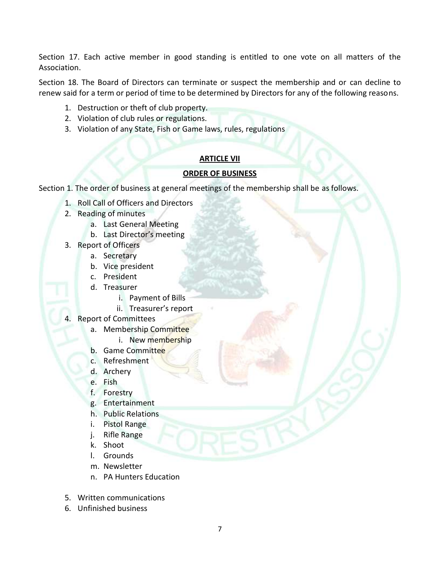Section 17. Each active member in good standing is entitled to one vote on all matters of the Association.

Section 18. The Board of Directors can terminate or suspect the membership and or can decline to renew said for a term or period of time to be determined by Directors for any of the following reasons.

- 1. Destruction or theft of club property.
- 2. Violation of club rules or regulations.
- 3. Violation of any State, Fish or Game laws, rules, regulations

# **ARTICLE VII**

# **ORDER OF BUSINESS**

Section 1. The order of business at general meetings of the membership shall be as follows.

- 1. Roll Call of Officers and Directors
- 2. Reading of minutes
	- a. Last General Meeting
	- b. Last Director's meeting
- 3. Report of Officers
	- a. Secretary
	- b. Vice president
	- c. President
	- d. Treasurer
		- i. Payment of Bills
		- ii. Treasurer's report
- 4. Report of Committees
	- a. Membership Committee
		- i. New membership
	- b. Game Committee
	- c. Refreshment
	- d. Archery
	- e. Fish
	- f. Forestry
	- g. Entertainment
	- h. Public Relations
	- i. Pistol Range
	- j. Rifle Range
	- k. Shoot
	- l. Grounds
	- m. Newsletter
	- n. PA Hunters Education
- 5. Written communications
- 6. Unfinished business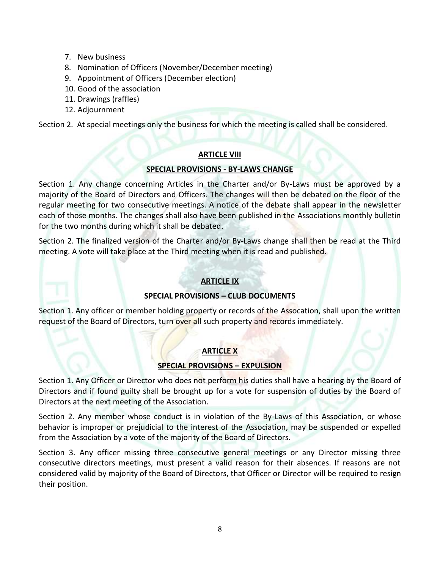- 7. New business
- 8. Nomination of Officers (November/December meeting)
- 9. Appointment of Officers (December election)
- 10. Good of the association
- 11. Drawings (raffles)
- 12. Adjournment

Section 2. At special meetings only the business for which the meeting is called shall be considered.

## **ARTICLE VIII**

## **SPECIAL PROVISIONS - BY-LAWS CHANGE**

Section 1. Any change concerning Articles in the Charter and/or By-Laws must be approved by a majority of the Board of Directors and Officers. The changes will then be debated on the floor of the regular meeting for two consecutive meetings. A notice of the debate shall appear in the newsletter each of those months. The changes shall also have been published in the Associations monthly bulletin for the two months during which it shall be debated.

Section 2. The finalized version of the Charter and/or By-Laws change shall then be read at the Third meeting. A vote will take place at the Third meeting when it is read and published.

## **ARTICLE IX**

## **SPECIAL PROVISIONS – CLUB DOCUMENTS**

Section 1. Any officer or member holding property or records of the Assocation, shall upon the written request of the Board of Directors, turn over all such property and records immediately.

# **ARTICLE X**

## **SPECIAL PROVISIONS – EXPULSION**

Section 1. Any Officer or Director who does not perform his duties shall have a hearing by the Board of Directors and if found guilty shall be brought up for a vote for suspension of duties by the Board of Directors at the next meeting of the Association.

Section 2. Any member whose conduct is in violation of the By-Laws of this Association, or whose behavior is improper or prejudicial to the interest of the Association, may be suspended or expelled from the Association by a vote of the majority of the Board of Directors.

Section 3. Any officer missing three consecutive general meetings or any Director missing three consecutive directors meetings, must present a valid reason for their absences. If reasons are not considered valid by majority of the Board of Directors, that Officer or Director will be required to resign their position.